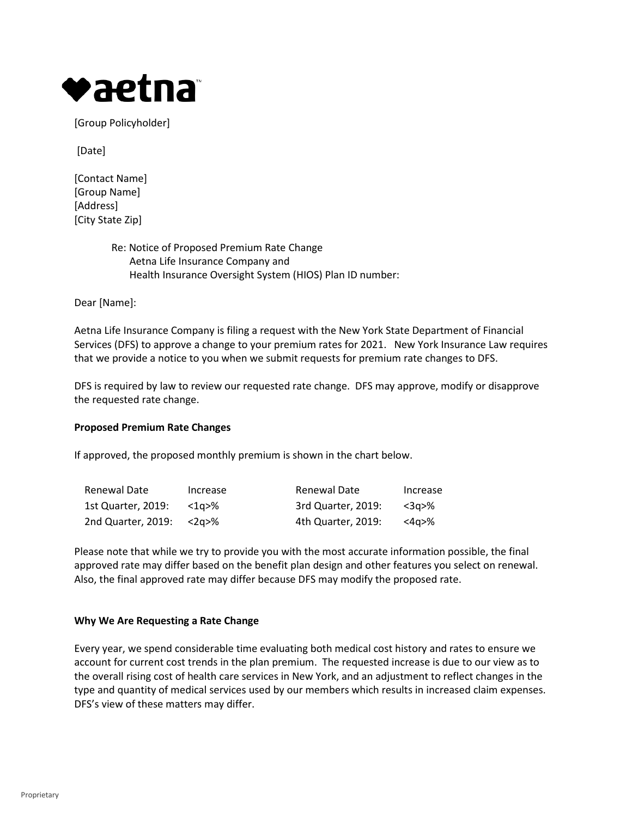

[Group Policyholder]

[Date]

- [Contact Name] [Group Name] [Address] [City State Zip]
	- Re: Notice of Proposed Premium Rate Change Aetna Life Insurance Company and Health Insurance Oversight System (HIOS) Plan ID number:

Dear [Name]:

Aetna Life Insurance Company is filing a request with the New York State Department of Financial Services (DFS) to approve a change to your premium rates for 2021. New York Insurance Law requires that we provide a notice to you when we submit requests for premium rate changes to DFS.

DFS is required by law to review our requested rate change. DFS may approve, modify or disapprove the requested rate change.

# **Proposed Premium Rate Changes**

If approved, the proposed monthly premium is shown in the chart below.

| Renewal Date       | Increase | Renewal Date       | Increase |
|--------------------|----------|--------------------|----------|
| 1st Quarter, 2019: | <1a>%    | 3rd Quarter, 2019: | <3α>%    |
| 2nd Quarter, 2019: | /2a>%    | 4th Quarter, 2019: | <4a>%    |

Please note that while we try to provide you with the most accurate information possible, the final approved rate may differ based on the benefit plan design and other features you select on renewal. Also, the final approved rate may differ because DFS may modify the proposed rate.

# **Why We Are Requesting a Rate Change**

Every year, we spend considerable time evaluating both medical cost history and rates to ensure we account for current cost trends in the plan premium. The requested increase is due to our view as to the overall rising cost of health care services in New York, and an adjustment to reflect changes in the type and quantity of medical services used by our members which results in increased claim expenses. DFS's view of these matters may differ.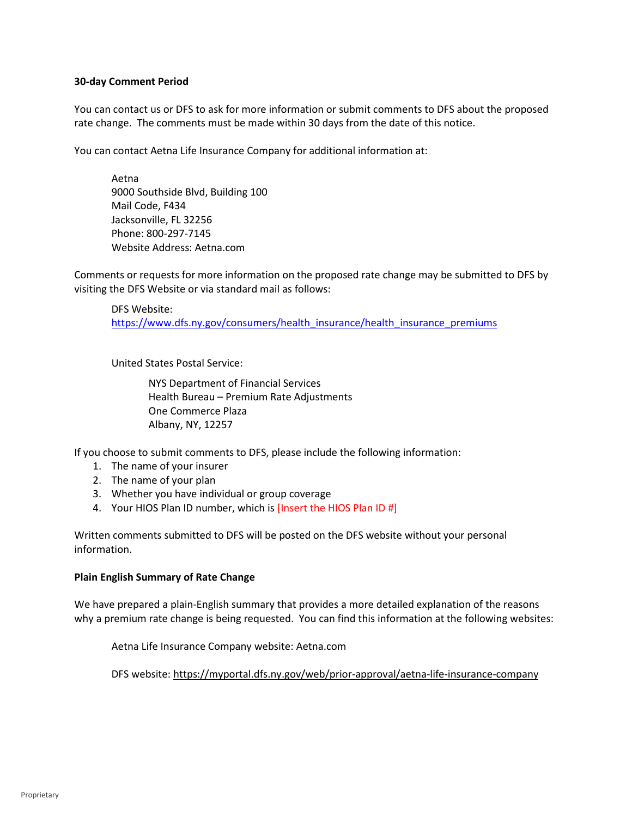# **30-day Comment Period**

You can contact us or DFS to ask for more information or submit comments to DFS about the proposed rate change. The comments must be made within 30 days from the date of this notice.

You can contact Aetna Life Insurance Company for additional information at:

Aetna 9000 Southside Blvd, Building 100 Mail Code, F434 Jacksonville, FL 32256 Phone: 800-297-7145 Website Address: Aetna.com

Comments or requests for more information on the proposed rate change may be submitted to DFS by visiting the DFS Website or via standard mail as follows:

DFS Website: [https://www.dfs.ny.gov/consumers/health\\_insurance/health\\_insurance\\_premiums](https://www.dfs.ny.gov/consumers/health_insurance/health_insurance_premiums)

United States Postal Service:

NYS Department of Financial Services Health Bureau – Premium Rate Adjustments One Commerce Plaza Albany, NY, 12257

If you choose to submit comments to DFS, please include the following information:

- 1. The name of your insurer
- 2. The name of your plan
- 3. Whether you have individual or group coverage
- 4. Your HIOS Plan ID number, which is [Insert the HIOS Plan ID #]

Written comments submitted to DFS will be posted on the DFS website without your personal information.

# **Plain English Summary of Rate Change**

We have prepared a plain-English summary that provides a more detailed explanation of the reasons why a premium rate change is being requested. You can find this information at the following websites:

Aetna Life Insurance Company website: Aetna.com

DFS website:<https://myportal.dfs.ny.gov/web/prior-approval/aetna-life-insurance-company>